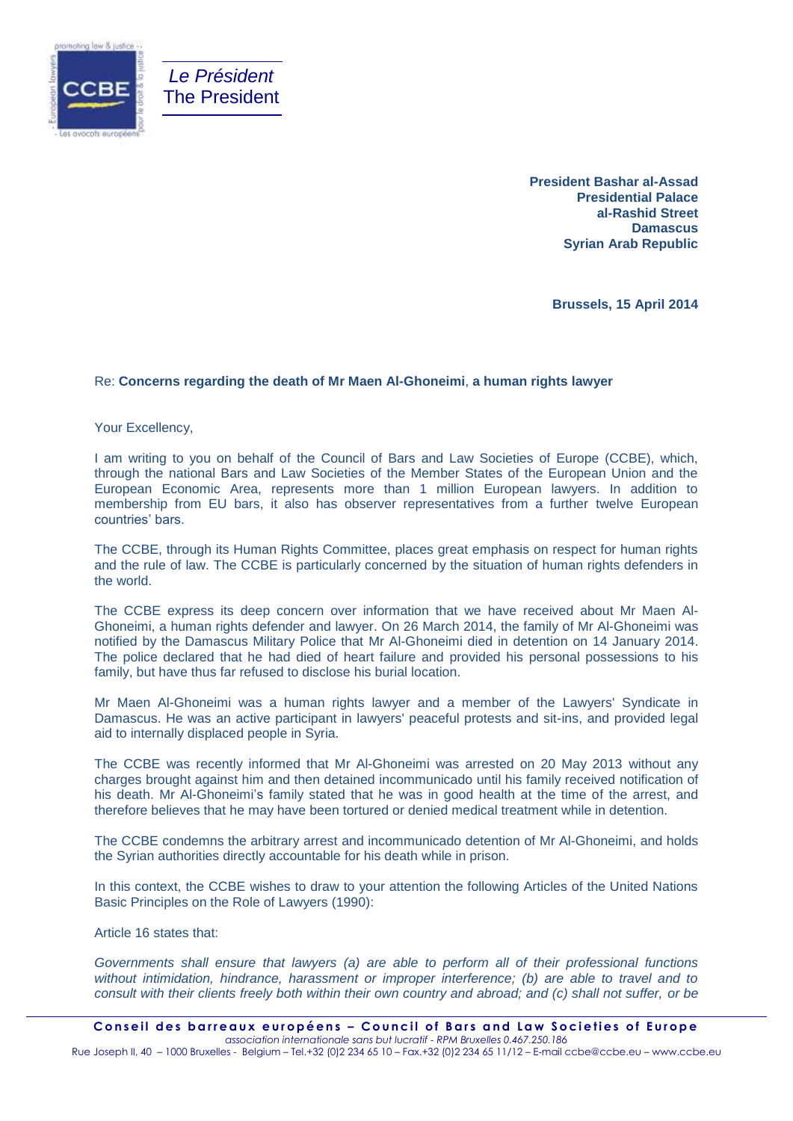

**President Bashar al-Assad Presidential Palace al-Rashid Street Damascus Syrian Arab Republic**

**Brussels, 15 April 2014**

## Re: **Concerns regarding the death of Mr Maen Al-Ghoneimi**, **a human rights lawyer**

Your Excellency,

I am writing to you on behalf of the Council of Bars and Law Societies of Europe (CCBE), which, through the national Bars and Law Societies of the Member States of the European Union and the European Economic Area, represents more than 1 million European lawyers. In addition to membership from EU bars, it also has observer representatives from a further twelve European countries' bars.

The CCBE, through its Human Rights Committee, places great emphasis on respect for human rights and the rule of law. The CCBE is particularly concerned by the situation of human rights defenders in the world.

The CCBE express its deep concern over information that we have received about Mr Maen Al-Ghoneimi, a human rights defender and lawyer. On 26 March 2014, the family of Mr Al-Ghoneimi was notified by the Damascus Military Police that Mr Al-Ghoneimi died in detention on 14 January 2014. The police declared that he had died of heart failure and provided his personal possessions to his family, but have thus far refused to disclose his burial location.

Mr Maen Al-Ghoneimi was a human rights lawyer and a member of the Lawyers' Syndicate in Damascus. He was an active participant in lawyers' peaceful protests and sit-ins, and provided legal aid to internally displaced people in Syria.

The CCBE was recently informed that Mr Al-Ghoneimi was arrested on 20 May 2013 without any charges brought against him and then detained incommunicado until his family received notification of his death. Mr Al-Ghoneimi's family stated that he was in good health at the time of the arrest, and therefore believes that he may have been tortured or denied medical treatment while in detention.

The CCBE condemns the arbitrary arrest and incommunicado detention of Mr Al-Ghoneimi, and holds the Syrian authorities directly accountable for his death while in prison.

In this context, the CCBE wishes to draw to your attention the following Articles of the United Nations Basic Principles on the Role of Lawyers (1990):

Article 16 states that:

*Governments shall ensure that lawyers (a) are able to perform all of their professional functions without intimidation, hindrance, harassment or improper interference; (b) are able to travel and to consult with their clients freely both within their own country and abroad; and (c) shall not suffer, or be*